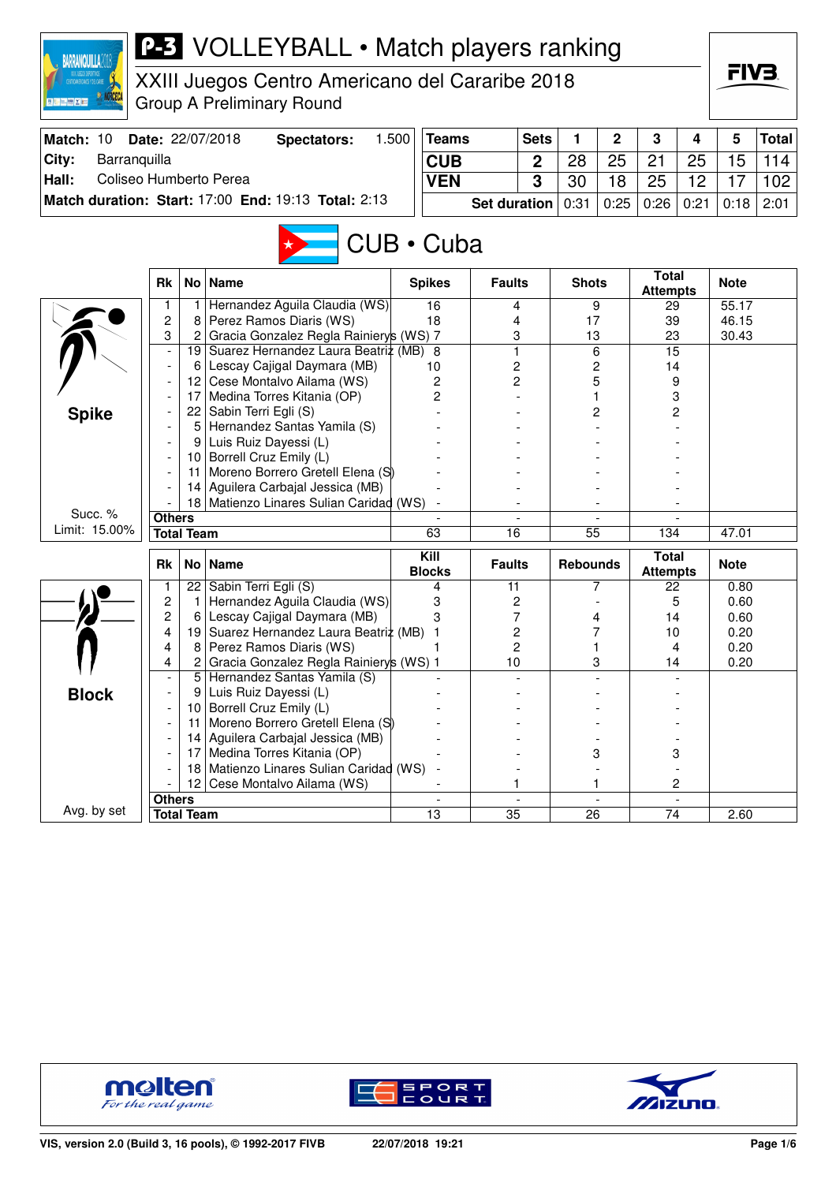| FIV3.<br>XXIII Juegos Centro Americano del Cararibe 2018<br><b>Group A Preliminary Round</b><br><b>BELLINGY</b><br>Date: 22/07/2018<br>1.500<br>5<br>Match: 10<br><b>Sets</b><br>1<br>$\mathbf{2}$<br>3<br><b>Total</b><br><b>Spectators:</b><br><b>Teams</b><br>4<br>Barranquilla<br>City:<br><b>CUB</b><br>28<br>25<br>21<br>25<br>15<br>114<br>$\mathbf 2$<br>Coliseo Humberto Perea<br>Hall:<br>3<br>30<br>18<br>25<br>12<br>17<br>102<br><b>VEN</b><br>Match duration: Start: 17:00 End: 19:13 Total: 2:13<br>2:01<br>0:31<br>0:25<br>0:26<br>0:21<br><b>Set duration</b><br>0:18<br>CUB • Cuba<br><b>Total</b><br><b>Name</b><br><b>Rk</b><br>No <sub>1</sub><br><b>Spikes</b><br><b>Faults</b><br><b>Shots</b><br><b>Note</b><br><b>Attempts</b><br>Hernandez Aguila Claudia (WS)<br>16<br>9<br>29<br>55.17<br>1<br>4<br>$\overline{c}$<br>Perez Ramos Diaris (WS)<br>46.15<br>18<br>17<br>39<br>8<br>4<br>Gracia Gonzalez Regla Rainierys (WS) 7<br>3<br>3<br>23<br>2<br>13<br>30.43<br>Suarez Hernandez Laura Beatriz (MB)<br>$\mathbf{1}$<br>6<br>15<br>8<br>19  <br>2<br>Lescay Cajigal Daymara (MB)<br>2<br>14<br>$6 \mid$<br>10<br>12 Cese Montalvo Ailama (WS)<br>2<br>5<br>2<br>9<br>Medina Torres Kitania (OP)<br>2<br>17<br>3<br>22 Sabin Terri Egli (S)<br><b>Spike</b><br>2<br>2<br>Hernandez Santas Yamila (S)<br>5<br>Luis Ruiz Dayessi (L)<br>9<br>Borrell Cruz Emily (L)<br>10 <sub>1</sub><br>Moreno Borrero Gretell Elena (S)<br>11<br>Aguilera Carbajal Jessica (MB)<br>14<br>Matienzo Linares Sulian Caridad (WS)<br>18<br>Succ. %<br><b>Others</b><br>Limit: 15.00%<br><b>Total Team</b><br>63<br>$\overline{16}$<br>$\overline{55}$<br>47.01<br>134<br>Kill<br><b>Total</b><br>Rk<br><b>Name</b><br><b>Faults</b><br><b>Rebounds</b><br><b>Note</b><br>No <sub>1</sub><br><b>Blocks</b><br><b>Attempts</b><br>22 Sabin Terri Egli (S)<br>0.80<br>11<br>7<br>22<br>1<br>4<br>2<br>Hernandez Aguila Claudia (WS)<br>3<br>2<br>5<br>0.60<br>1.<br>2<br>Lescay Cajigal Daymara (MB)<br>3<br>7<br>14<br>0.60<br>6<br>4<br>19 Suarez Hernandez Laura Beatriz (MB)<br>2<br>4<br>7<br>0.20<br>-1<br>10<br>Perez Ramos Diaris (WS)<br>$\overline{c}$<br>4<br>8<br>1<br>0.20<br>4<br>1<br>Gracia Gonzalez Regla Rainierys (WS) 1<br>$\overline{2}$<br>$10$<br>0.20<br>4<br>3<br>14<br>Hernandez Santas Yamila (S)<br>5<br>Luis Ruiz Dayessi (L)<br><b>Block</b><br>9<br>Borrell Cruz Emily (L)<br>10<br>Moreno Borrero Gretell Elena (S)<br>11<br>Aguilera Carbajal Jessica (MB)<br>14<br>Medina Torres Kitania (OP)<br>3<br>3<br>17<br>Matienzo Linares Sulian Caridad (WS)<br>18<br>Cese Montalvo Ailama (WS)<br>12<br>2<br>1<br>1<br><b>Others</b><br><b>Total Team</b><br>35<br>26<br>74 | <b>BARRANQUILLA?</b> |  | <b>P-3</b> VOLLEYBALL • Match players ranking |    |  |  |  |      |  |
|-----------------------------------------------------------------------------------------------------------------------------------------------------------------------------------------------------------------------------------------------------------------------------------------------------------------------------------------------------------------------------------------------------------------------------------------------------------------------------------------------------------------------------------------------------------------------------------------------------------------------------------------------------------------------------------------------------------------------------------------------------------------------------------------------------------------------------------------------------------------------------------------------------------------------------------------------------------------------------------------------------------------------------------------------------------------------------------------------------------------------------------------------------------------------------------------------------------------------------------------------------------------------------------------------------------------------------------------------------------------------------------------------------------------------------------------------------------------------------------------------------------------------------------------------------------------------------------------------------------------------------------------------------------------------------------------------------------------------------------------------------------------------------------------------------------------------------------------------------------------------------------------------------------------------------------------------------------------------------------------------------------------------------------------------------------------------------------------------------------------------------------------------------------------------------------------------------------------------------------------------------------------------------------------------------------------------------------------------------------------------------------------------------------------------------------------------------------------------------------------------------------------------------------------------------------------------------------------------------------------------------------------------------------------------------------------------------------------|----------------------|--|-----------------------------------------------|----|--|--|--|------|--|
|                                                                                                                                                                                                                                                                                                                                                                                                                                                                                                                                                                                                                                                                                                                                                                                                                                                                                                                                                                                                                                                                                                                                                                                                                                                                                                                                                                                                                                                                                                                                                                                                                                                                                                                                                                                                                                                                                                                                                                                                                                                                                                                                                                                                                                                                                                                                                                                                                                                                                                                                                                                                                                                                                                                 |                      |  |                                               |    |  |  |  |      |  |
|                                                                                                                                                                                                                                                                                                                                                                                                                                                                                                                                                                                                                                                                                                                                                                                                                                                                                                                                                                                                                                                                                                                                                                                                                                                                                                                                                                                                                                                                                                                                                                                                                                                                                                                                                                                                                                                                                                                                                                                                                                                                                                                                                                                                                                                                                                                                                                                                                                                                                                                                                                                                                                                                                                                 |                      |  |                                               |    |  |  |  |      |  |
|                                                                                                                                                                                                                                                                                                                                                                                                                                                                                                                                                                                                                                                                                                                                                                                                                                                                                                                                                                                                                                                                                                                                                                                                                                                                                                                                                                                                                                                                                                                                                                                                                                                                                                                                                                                                                                                                                                                                                                                                                                                                                                                                                                                                                                                                                                                                                                                                                                                                                                                                                                                                                                                                                                                 |                      |  |                                               |    |  |  |  |      |  |
|                                                                                                                                                                                                                                                                                                                                                                                                                                                                                                                                                                                                                                                                                                                                                                                                                                                                                                                                                                                                                                                                                                                                                                                                                                                                                                                                                                                                                                                                                                                                                                                                                                                                                                                                                                                                                                                                                                                                                                                                                                                                                                                                                                                                                                                                                                                                                                                                                                                                                                                                                                                                                                                                                                                 |                      |  |                                               |    |  |  |  |      |  |
|                                                                                                                                                                                                                                                                                                                                                                                                                                                                                                                                                                                                                                                                                                                                                                                                                                                                                                                                                                                                                                                                                                                                                                                                                                                                                                                                                                                                                                                                                                                                                                                                                                                                                                                                                                                                                                                                                                                                                                                                                                                                                                                                                                                                                                                                                                                                                                                                                                                                                                                                                                                                                                                                                                                 |                      |  |                                               |    |  |  |  |      |  |
|                                                                                                                                                                                                                                                                                                                                                                                                                                                                                                                                                                                                                                                                                                                                                                                                                                                                                                                                                                                                                                                                                                                                                                                                                                                                                                                                                                                                                                                                                                                                                                                                                                                                                                                                                                                                                                                                                                                                                                                                                                                                                                                                                                                                                                                                                                                                                                                                                                                                                                                                                                                                                                                                                                                 |                      |  |                                               |    |  |  |  |      |  |
|                                                                                                                                                                                                                                                                                                                                                                                                                                                                                                                                                                                                                                                                                                                                                                                                                                                                                                                                                                                                                                                                                                                                                                                                                                                                                                                                                                                                                                                                                                                                                                                                                                                                                                                                                                                                                                                                                                                                                                                                                                                                                                                                                                                                                                                                                                                                                                                                                                                                                                                                                                                                                                                                                                                 |                      |  |                                               |    |  |  |  |      |  |
|                                                                                                                                                                                                                                                                                                                                                                                                                                                                                                                                                                                                                                                                                                                                                                                                                                                                                                                                                                                                                                                                                                                                                                                                                                                                                                                                                                                                                                                                                                                                                                                                                                                                                                                                                                                                                                                                                                                                                                                                                                                                                                                                                                                                                                                                                                                                                                                                                                                                                                                                                                                                                                                                                                                 |                      |  |                                               |    |  |  |  |      |  |
|                                                                                                                                                                                                                                                                                                                                                                                                                                                                                                                                                                                                                                                                                                                                                                                                                                                                                                                                                                                                                                                                                                                                                                                                                                                                                                                                                                                                                                                                                                                                                                                                                                                                                                                                                                                                                                                                                                                                                                                                                                                                                                                                                                                                                                                                                                                                                                                                                                                                                                                                                                                                                                                                                                                 |                      |  |                                               |    |  |  |  |      |  |
|                                                                                                                                                                                                                                                                                                                                                                                                                                                                                                                                                                                                                                                                                                                                                                                                                                                                                                                                                                                                                                                                                                                                                                                                                                                                                                                                                                                                                                                                                                                                                                                                                                                                                                                                                                                                                                                                                                                                                                                                                                                                                                                                                                                                                                                                                                                                                                                                                                                                                                                                                                                                                                                                                                                 |                      |  |                                               |    |  |  |  |      |  |
|                                                                                                                                                                                                                                                                                                                                                                                                                                                                                                                                                                                                                                                                                                                                                                                                                                                                                                                                                                                                                                                                                                                                                                                                                                                                                                                                                                                                                                                                                                                                                                                                                                                                                                                                                                                                                                                                                                                                                                                                                                                                                                                                                                                                                                                                                                                                                                                                                                                                                                                                                                                                                                                                                                                 |                      |  |                                               |    |  |  |  |      |  |
|                                                                                                                                                                                                                                                                                                                                                                                                                                                                                                                                                                                                                                                                                                                                                                                                                                                                                                                                                                                                                                                                                                                                                                                                                                                                                                                                                                                                                                                                                                                                                                                                                                                                                                                                                                                                                                                                                                                                                                                                                                                                                                                                                                                                                                                                                                                                                                                                                                                                                                                                                                                                                                                                                                                 |                      |  |                                               |    |  |  |  |      |  |
|                                                                                                                                                                                                                                                                                                                                                                                                                                                                                                                                                                                                                                                                                                                                                                                                                                                                                                                                                                                                                                                                                                                                                                                                                                                                                                                                                                                                                                                                                                                                                                                                                                                                                                                                                                                                                                                                                                                                                                                                                                                                                                                                                                                                                                                                                                                                                                                                                                                                                                                                                                                                                                                                                                                 |                      |  |                                               |    |  |  |  |      |  |
|                                                                                                                                                                                                                                                                                                                                                                                                                                                                                                                                                                                                                                                                                                                                                                                                                                                                                                                                                                                                                                                                                                                                                                                                                                                                                                                                                                                                                                                                                                                                                                                                                                                                                                                                                                                                                                                                                                                                                                                                                                                                                                                                                                                                                                                                                                                                                                                                                                                                                                                                                                                                                                                                                                                 |                      |  |                                               |    |  |  |  |      |  |
|                                                                                                                                                                                                                                                                                                                                                                                                                                                                                                                                                                                                                                                                                                                                                                                                                                                                                                                                                                                                                                                                                                                                                                                                                                                                                                                                                                                                                                                                                                                                                                                                                                                                                                                                                                                                                                                                                                                                                                                                                                                                                                                                                                                                                                                                                                                                                                                                                                                                                                                                                                                                                                                                                                                 |                      |  |                                               |    |  |  |  |      |  |
|                                                                                                                                                                                                                                                                                                                                                                                                                                                                                                                                                                                                                                                                                                                                                                                                                                                                                                                                                                                                                                                                                                                                                                                                                                                                                                                                                                                                                                                                                                                                                                                                                                                                                                                                                                                                                                                                                                                                                                                                                                                                                                                                                                                                                                                                                                                                                                                                                                                                                                                                                                                                                                                                                                                 |                      |  |                                               |    |  |  |  |      |  |
|                                                                                                                                                                                                                                                                                                                                                                                                                                                                                                                                                                                                                                                                                                                                                                                                                                                                                                                                                                                                                                                                                                                                                                                                                                                                                                                                                                                                                                                                                                                                                                                                                                                                                                                                                                                                                                                                                                                                                                                                                                                                                                                                                                                                                                                                                                                                                                                                                                                                                                                                                                                                                                                                                                                 |                      |  |                                               |    |  |  |  |      |  |
|                                                                                                                                                                                                                                                                                                                                                                                                                                                                                                                                                                                                                                                                                                                                                                                                                                                                                                                                                                                                                                                                                                                                                                                                                                                                                                                                                                                                                                                                                                                                                                                                                                                                                                                                                                                                                                                                                                                                                                                                                                                                                                                                                                                                                                                                                                                                                                                                                                                                                                                                                                                                                                                                                                                 |                      |  |                                               |    |  |  |  |      |  |
|                                                                                                                                                                                                                                                                                                                                                                                                                                                                                                                                                                                                                                                                                                                                                                                                                                                                                                                                                                                                                                                                                                                                                                                                                                                                                                                                                                                                                                                                                                                                                                                                                                                                                                                                                                                                                                                                                                                                                                                                                                                                                                                                                                                                                                                                                                                                                                                                                                                                                                                                                                                                                                                                                                                 |                      |  |                                               |    |  |  |  |      |  |
|                                                                                                                                                                                                                                                                                                                                                                                                                                                                                                                                                                                                                                                                                                                                                                                                                                                                                                                                                                                                                                                                                                                                                                                                                                                                                                                                                                                                                                                                                                                                                                                                                                                                                                                                                                                                                                                                                                                                                                                                                                                                                                                                                                                                                                                                                                                                                                                                                                                                                                                                                                                                                                                                                                                 |                      |  |                                               |    |  |  |  |      |  |
|                                                                                                                                                                                                                                                                                                                                                                                                                                                                                                                                                                                                                                                                                                                                                                                                                                                                                                                                                                                                                                                                                                                                                                                                                                                                                                                                                                                                                                                                                                                                                                                                                                                                                                                                                                                                                                                                                                                                                                                                                                                                                                                                                                                                                                                                                                                                                                                                                                                                                                                                                                                                                                                                                                                 |                      |  |                                               |    |  |  |  |      |  |
|                                                                                                                                                                                                                                                                                                                                                                                                                                                                                                                                                                                                                                                                                                                                                                                                                                                                                                                                                                                                                                                                                                                                                                                                                                                                                                                                                                                                                                                                                                                                                                                                                                                                                                                                                                                                                                                                                                                                                                                                                                                                                                                                                                                                                                                                                                                                                                                                                                                                                                                                                                                                                                                                                                                 |                      |  |                                               |    |  |  |  |      |  |
|                                                                                                                                                                                                                                                                                                                                                                                                                                                                                                                                                                                                                                                                                                                                                                                                                                                                                                                                                                                                                                                                                                                                                                                                                                                                                                                                                                                                                                                                                                                                                                                                                                                                                                                                                                                                                                                                                                                                                                                                                                                                                                                                                                                                                                                                                                                                                                                                                                                                                                                                                                                                                                                                                                                 |                      |  |                                               |    |  |  |  |      |  |
|                                                                                                                                                                                                                                                                                                                                                                                                                                                                                                                                                                                                                                                                                                                                                                                                                                                                                                                                                                                                                                                                                                                                                                                                                                                                                                                                                                                                                                                                                                                                                                                                                                                                                                                                                                                                                                                                                                                                                                                                                                                                                                                                                                                                                                                                                                                                                                                                                                                                                                                                                                                                                                                                                                                 |                      |  |                                               |    |  |  |  |      |  |
|                                                                                                                                                                                                                                                                                                                                                                                                                                                                                                                                                                                                                                                                                                                                                                                                                                                                                                                                                                                                                                                                                                                                                                                                                                                                                                                                                                                                                                                                                                                                                                                                                                                                                                                                                                                                                                                                                                                                                                                                                                                                                                                                                                                                                                                                                                                                                                                                                                                                                                                                                                                                                                                                                                                 |                      |  |                                               |    |  |  |  |      |  |
|                                                                                                                                                                                                                                                                                                                                                                                                                                                                                                                                                                                                                                                                                                                                                                                                                                                                                                                                                                                                                                                                                                                                                                                                                                                                                                                                                                                                                                                                                                                                                                                                                                                                                                                                                                                                                                                                                                                                                                                                                                                                                                                                                                                                                                                                                                                                                                                                                                                                                                                                                                                                                                                                                                                 |                      |  |                                               |    |  |  |  |      |  |
|                                                                                                                                                                                                                                                                                                                                                                                                                                                                                                                                                                                                                                                                                                                                                                                                                                                                                                                                                                                                                                                                                                                                                                                                                                                                                                                                                                                                                                                                                                                                                                                                                                                                                                                                                                                                                                                                                                                                                                                                                                                                                                                                                                                                                                                                                                                                                                                                                                                                                                                                                                                                                                                                                                                 |                      |  |                                               |    |  |  |  |      |  |
|                                                                                                                                                                                                                                                                                                                                                                                                                                                                                                                                                                                                                                                                                                                                                                                                                                                                                                                                                                                                                                                                                                                                                                                                                                                                                                                                                                                                                                                                                                                                                                                                                                                                                                                                                                                                                                                                                                                                                                                                                                                                                                                                                                                                                                                                                                                                                                                                                                                                                                                                                                                                                                                                                                                 |                      |  |                                               |    |  |  |  |      |  |
|                                                                                                                                                                                                                                                                                                                                                                                                                                                                                                                                                                                                                                                                                                                                                                                                                                                                                                                                                                                                                                                                                                                                                                                                                                                                                                                                                                                                                                                                                                                                                                                                                                                                                                                                                                                                                                                                                                                                                                                                                                                                                                                                                                                                                                                                                                                                                                                                                                                                                                                                                                                                                                                                                                                 |                      |  |                                               |    |  |  |  |      |  |
|                                                                                                                                                                                                                                                                                                                                                                                                                                                                                                                                                                                                                                                                                                                                                                                                                                                                                                                                                                                                                                                                                                                                                                                                                                                                                                                                                                                                                                                                                                                                                                                                                                                                                                                                                                                                                                                                                                                                                                                                                                                                                                                                                                                                                                                                                                                                                                                                                                                                                                                                                                                                                                                                                                                 |                      |  |                                               |    |  |  |  |      |  |
|                                                                                                                                                                                                                                                                                                                                                                                                                                                                                                                                                                                                                                                                                                                                                                                                                                                                                                                                                                                                                                                                                                                                                                                                                                                                                                                                                                                                                                                                                                                                                                                                                                                                                                                                                                                                                                                                                                                                                                                                                                                                                                                                                                                                                                                                                                                                                                                                                                                                                                                                                                                                                                                                                                                 |                      |  |                                               |    |  |  |  |      |  |
|                                                                                                                                                                                                                                                                                                                                                                                                                                                                                                                                                                                                                                                                                                                                                                                                                                                                                                                                                                                                                                                                                                                                                                                                                                                                                                                                                                                                                                                                                                                                                                                                                                                                                                                                                                                                                                                                                                                                                                                                                                                                                                                                                                                                                                                                                                                                                                                                                                                                                                                                                                                                                                                                                                                 |                      |  |                                               |    |  |  |  |      |  |
|                                                                                                                                                                                                                                                                                                                                                                                                                                                                                                                                                                                                                                                                                                                                                                                                                                                                                                                                                                                                                                                                                                                                                                                                                                                                                                                                                                                                                                                                                                                                                                                                                                                                                                                                                                                                                                                                                                                                                                                                                                                                                                                                                                                                                                                                                                                                                                                                                                                                                                                                                                                                                                                                                                                 |                      |  |                                               |    |  |  |  |      |  |
|                                                                                                                                                                                                                                                                                                                                                                                                                                                                                                                                                                                                                                                                                                                                                                                                                                                                                                                                                                                                                                                                                                                                                                                                                                                                                                                                                                                                                                                                                                                                                                                                                                                                                                                                                                                                                                                                                                                                                                                                                                                                                                                                                                                                                                                                                                                                                                                                                                                                                                                                                                                                                                                                                                                 |                      |  |                                               |    |  |  |  |      |  |
|                                                                                                                                                                                                                                                                                                                                                                                                                                                                                                                                                                                                                                                                                                                                                                                                                                                                                                                                                                                                                                                                                                                                                                                                                                                                                                                                                                                                                                                                                                                                                                                                                                                                                                                                                                                                                                                                                                                                                                                                                                                                                                                                                                                                                                                                                                                                                                                                                                                                                                                                                                                                                                                                                                                 |                      |  |                                               |    |  |  |  |      |  |
|                                                                                                                                                                                                                                                                                                                                                                                                                                                                                                                                                                                                                                                                                                                                                                                                                                                                                                                                                                                                                                                                                                                                                                                                                                                                                                                                                                                                                                                                                                                                                                                                                                                                                                                                                                                                                                                                                                                                                                                                                                                                                                                                                                                                                                                                                                                                                                                                                                                                                                                                                                                                                                                                                                                 |                      |  |                                               |    |  |  |  |      |  |
|                                                                                                                                                                                                                                                                                                                                                                                                                                                                                                                                                                                                                                                                                                                                                                                                                                                                                                                                                                                                                                                                                                                                                                                                                                                                                                                                                                                                                                                                                                                                                                                                                                                                                                                                                                                                                                                                                                                                                                                                                                                                                                                                                                                                                                                                                                                                                                                                                                                                                                                                                                                                                                                                                                                 |                      |  |                                               |    |  |  |  |      |  |
|                                                                                                                                                                                                                                                                                                                                                                                                                                                                                                                                                                                                                                                                                                                                                                                                                                                                                                                                                                                                                                                                                                                                                                                                                                                                                                                                                                                                                                                                                                                                                                                                                                                                                                                                                                                                                                                                                                                                                                                                                                                                                                                                                                                                                                                                                                                                                                                                                                                                                                                                                                                                                                                                                                                 |                      |  |                                               |    |  |  |  |      |  |
|                                                                                                                                                                                                                                                                                                                                                                                                                                                                                                                                                                                                                                                                                                                                                                                                                                                                                                                                                                                                                                                                                                                                                                                                                                                                                                                                                                                                                                                                                                                                                                                                                                                                                                                                                                                                                                                                                                                                                                                                                                                                                                                                                                                                                                                                                                                                                                                                                                                                                                                                                                                                                                                                                                                 | Avg. by set          |  |                                               | 13 |  |  |  | 2.60 |  |





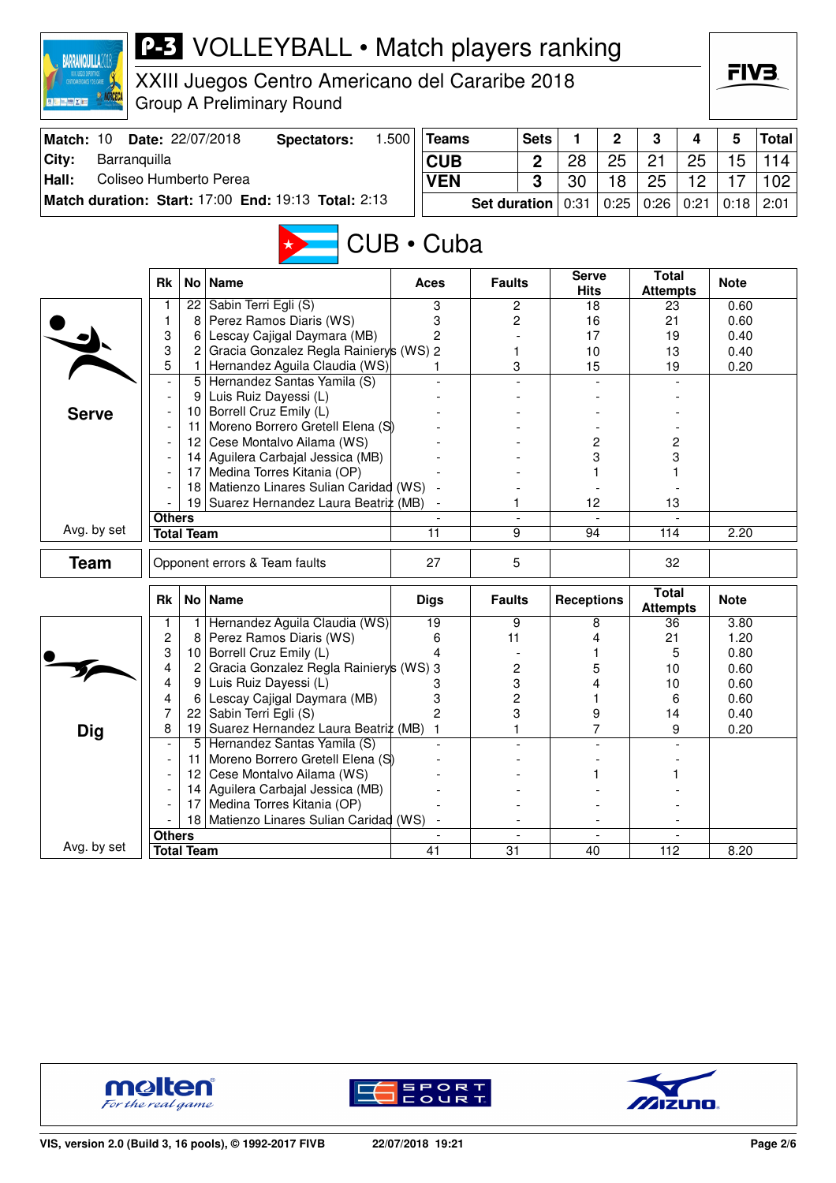| <b>BARRANQUILLA201</b>          |               |                   | <b>P-3</b> VOLLEYBALL • Match players ranking                       |       |                 |                     |                |                             |                          |                                 |      |              |              |
|---------------------------------|---------------|-------------------|---------------------------------------------------------------------|-------|-----------------|---------------------|----------------|-----------------------------|--------------------------|---------------------------------|------|--------------|--------------|
|                                 |               |                   | XXIII Juegos Centro Americano del Cararibe 2018                     |       |                 |                     |                |                             |                          |                                 |      | FIV3         |              |
| ※ 百度 2日                         |               |                   | <b>Group A Preliminary Round</b>                                    |       |                 |                     |                |                             |                          |                                 |      |              |              |
| Match: 10                       |               |                   | Date: 22/07/2018<br><b>Spectators:</b>                              | 1.500 | <b>Teams</b>    |                     | <b>Sets</b>    | 1                           | $\mathbf 2$              | 3                               | 4    | 5            | <b>Total</b> |
| City:<br>Barranquilla           |               |                   |                                                                     |       | <b>CUB</b>      |                     | $\overline{2}$ | 28                          | 25                       | 21                              | 25   | 15           | 114          |
| Hall:<br>Coliseo Humberto Perea |               |                   |                                                                     |       | <b>VEN</b>      |                     | 3              | 30                          | 18                       | 25                              | 12   | 17           | 102          |
|                                 |               |                   | Match duration: Start: 17:00 End: 19:13 Total: 2:13                 |       |                 | <b>Set duration</b> |                | 0:31                        | 0:25                     | 0:26                            | 0:21 | 0:18         | 2:01         |
|                                 |               |                   |                                                                     |       | CUB · Cuba      |                     |                |                             |                          |                                 |      |              |              |
|                                 | <b>Rk</b>     | No <sub>1</sub>   | <b>Name</b>                                                         |       | Aces            | <b>Faults</b>       |                | <b>Serve</b><br><b>Hits</b> |                          | <b>Total</b><br><b>Attempts</b> |      | <b>Note</b>  |              |
|                                 |               |                   | 22 Sabin Terri Egli (S)                                             |       | 3               | 2                   |                | 18                          |                          | 23                              |      | 0.60         |              |
|                                 | 1<br>3        | 8<br>6            | Perez Ramos Diaris (WS)<br>Lescay Cajigal Daymara (MB)              |       | 3<br>2          | 2                   |                | 16<br>17                    |                          | 21<br>19                        |      | 0.60<br>0.40 |              |
|                                 | 3             | 2                 | Gracia Gonzalez Regla Rainiery's (WS) 2                             |       |                 | 1                   |                | 10                          |                          | 13                              |      | 0.40         |              |
|                                 | 5             | 1.                | Hernandez Aguila Claudia (WS)                                       |       |                 | 3                   |                | 15                          |                          | 19                              |      | 0.20         |              |
|                                 |               |                   | 5 Hernandez Santas Yamila (S)                                       |       |                 |                     |                |                             |                          |                                 |      |              |              |
|                                 |               | 9                 | Luis Ruiz Dayessi (L)                                               |       |                 |                     |                |                             |                          |                                 |      |              |              |
| <b>Serve</b>                    |               |                   | 10 Borrell Cruz Emily (L)                                           |       |                 |                     |                |                             |                          |                                 |      |              |              |
|                                 |               | 11                | Moreno Borrero Gretell Elena (S)<br>12 Cese Montalvo Ailama (WS)    |       |                 |                     |                |                             | 2                        | 2                               |      |              |              |
|                                 |               |                   | 14 Aguilera Carbajal Jessica (MB)                                   |       |                 |                     |                |                             | 3                        | 3                               |      |              |              |
|                                 |               | 17                | Medina Torres Kitania (OP)                                          |       |                 |                     |                |                             |                          |                                 |      |              |              |
|                                 |               | 18                | Matienzo Linares Sulian Caridad (WS)                                |       |                 |                     |                |                             |                          |                                 |      |              |              |
|                                 |               | 19                | Suarez Hernandez Laura Beatriz (MB)                                 |       |                 | 1                   |                | 12                          |                          | 13                              |      |              |              |
| Avg. by set                     | <b>Others</b> | <b>Total Team</b> |                                                                     |       | 11              | 9                   | $\blacksquare$ | 94                          |                          | 114                             |      | 2.20         |              |
|                                 |               |                   |                                                                     |       |                 |                     |                |                             |                          |                                 |      |              |              |
| <b>Team</b>                     |               |                   | Opponent errors & Team faults                                       |       | 27              | 5                   |                |                             |                          | 32                              |      |              |              |
|                                 | <b>Rk</b>     |                   | No   Name                                                           |       | <b>Digs</b>     | <b>Faults</b>       |                | <b>Receptions</b>           |                          | <b>Total</b><br><b>Attempts</b> |      | <b>Note</b>  |              |
|                                 | 1             | 1                 | Hernandez Aguila Claudia (WS)                                       |       | 19              | 9                   |                |                             | 8                        | 36                              |      | 3.80         |              |
|                                 | 2             | 8                 | Perez Ramos Diaris (WS)                                             |       | 6               | 11                  |                |                             | 4                        | 21                              |      | 1.20         |              |
|                                 | 3<br>4        |                   | 10 Borrell Cruz Emily (L)<br>Gracia Gonzalez Regla Rainierys (WS) 3 |       | 4               | 2                   |                | 1                           | 5                        | 5<br>10                         |      | 0.80<br>0.60 |              |
|                                 | 4             | 2<br>9            | Luis Ruiz Dayessi (L)                                               |       | З               | 3                   |                |                             | 4                        | 10                              |      | 0.60         |              |
|                                 | 4             | 6                 | Lescay Cajigal Daymara (MB)                                         |       | 3               | 2                   |                | 1                           |                          | 6                               |      | 0.60         |              |
|                                 | 7             | 22                | Sabin Terri Egli (S)                                                |       | $\overline{c}$  | 3                   |                |                             | 9                        | 14                              |      | 0.40         |              |
| <b>Dig</b>                      | 8             |                   | 19 Suarez Hernandez Laura Beatriz (MB)                              |       | $\mathbf{1}$    | 1                   |                |                             | 7                        |                                 | 9    | 0.20         |              |
|                                 |               | 5                 | Hernandez Santas Yamila (S)                                         |       |                 |                     |                |                             |                          |                                 |      |              |              |
|                                 |               | 11                | Moreno Borrero Gretell Elena (S)                                    |       |                 |                     |                |                             |                          |                                 |      |              |              |
|                                 |               | 12<br>14          | Cese Montalvo Ailama (WS)<br>Aguilera Carbajal Jessica (MB)         |       |                 |                     |                |                             |                          |                                 |      |              |              |
|                                 |               | 17                | Medina Torres Kitania (OP)                                          |       |                 |                     |                |                             |                          |                                 |      |              |              |
|                                 |               |                   | 18 Matienzo Linares Sulian Caridad (WS)                             |       |                 |                     |                |                             |                          |                                 |      |              |              |
|                                 | <b>Others</b> |                   |                                                                     |       |                 |                     | $\overline{a}$ |                             | $\overline{\phantom{a}}$ |                                 |      |              |              |
| Avg. by set                     |               | <b>Total Team</b> |                                                                     |       | $\overline{41}$ | $\overline{31}$     |                | 40                          |                          | 112                             |      | 8.20         |              |





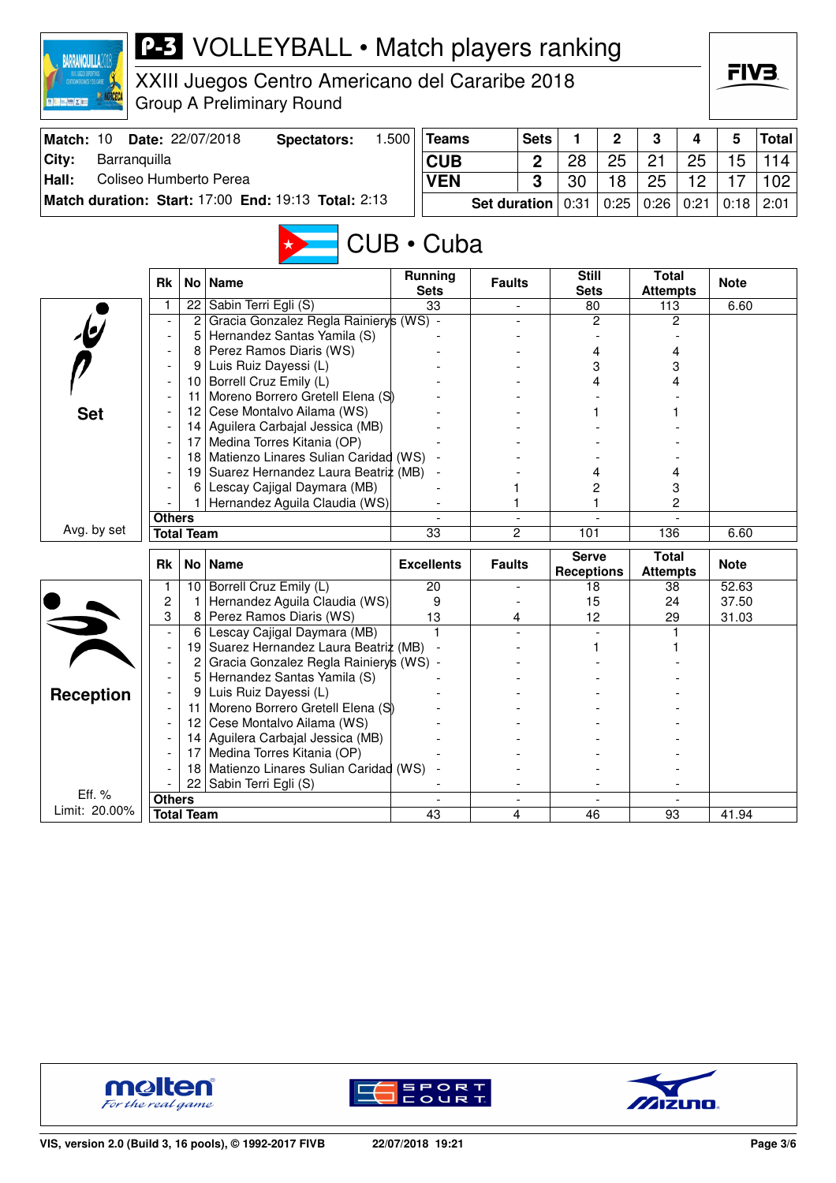

XXIII Juegos Centro Americano del Cararibe 2018 Group A Preliminary Round

|       | Match: 10 Date: 22/07/2018                          | Spectators: | .500 | Teams                                                  | <b>Sets</b> |    | 2 <sub>1</sub> | $\overline{\mathbf{3}}$ | $\overline{\mathbf{4}}$ | 5 | Total            |
|-------|-----------------------------------------------------|-------------|------|--------------------------------------------------------|-------------|----|----------------|-------------------------|-------------------------|---|------------------|
| City: | Barranquilla                                        |             |      | <b>CUB</b>                                             |             | 28 | 25             | -21                     | 25                      |   | $15 \mid 114$    |
| Hall: | Coliseo Humberto Perea                              |             |      | <b>VEN</b>                                             |             | 30 | 18             | 25                      | 12                      |   | 102 <sub>1</sub> |
|       | Match duration: Start: 17:00 End: 19:13 Total: 2:13 |             |      | Set duration   0:31   0:25   0:26   0:21   0:18   2:01 |             |    |                |                         |                         |   |                  |

# CUB • Cuba

|                         | <b>Rk</b>                |                   | No   Name                               | <b>Running</b><br><b>Sets</b> | <b>Faults</b>            | <b>Still</b><br><b>Sets</b> | <b>Total</b><br><b>Attempts</b> | <b>Note</b> |
|-------------------------|--------------------------|-------------------|-----------------------------------------|-------------------------------|--------------------------|-----------------------------|---------------------------------|-------------|
|                         | 1                        | 22                | Sabin Terri Egli (S)                    | 33                            |                          | 80                          | 113                             | 6.60        |
|                         |                          | $\overline{c}$    | Gracia Gonzalez Regla Rainierys (WS) -  |                               |                          | $\overline{c}$              | 2                               |             |
| $\mathbf{\psi}$         | $\overline{\phantom{a}}$ | 5                 | Hernandez Santas Yamila (S)             |                               |                          |                             |                                 |             |
|                         |                          | 8                 | Perez Ramos Diaris (WS)                 |                               |                          | 4                           | 4                               |             |
|                         |                          | 9                 | Luis Ruiz Dayessi (L)                   |                               |                          | 3                           | 3                               |             |
|                         |                          | 10 <sup>1</sup>   | Borrell Cruz Emily (L)                  |                               |                          | 4                           | 4                               |             |
|                         |                          | 11                | Moreno Borrero Gretell Elena (S)        |                               |                          |                             |                                 |             |
| <b>Set</b>              |                          | 12 <sup>2</sup>   | Cese Montalvo Ailama (WS)               |                               |                          |                             |                                 |             |
|                         |                          | 14                | Aguilera Carbajal Jessica (MB)          |                               |                          |                             |                                 |             |
|                         |                          | 17                | Medina Torres Kitania (OP)              |                               |                          |                             |                                 |             |
|                         |                          | 18                | Matienzo Linares Sulian Caridad (WS)    |                               |                          |                             |                                 |             |
|                         |                          |                   | 19 Suarez Hernandez Laura Beatriz (MB)  | $\overline{\phantom{a}}$      |                          | 4                           | 4                               |             |
|                         |                          | 6                 | Lescay Cajigal Daymara (MB)             |                               |                          | 2                           | 3                               |             |
|                         |                          |                   | Hernandez Aguila Claudia (WS)           |                               |                          |                             | $\overline{c}$                  |             |
|                         | <b>Others</b>            |                   |                                         |                               | $\overline{\phantom{a}}$ |                             |                                 |             |
| Avg. by set             |                          | <b>Total Team</b> |                                         | 33                            | $\overline{c}$           | 101                         | 136                             | 6.60        |
|                         |                          |                   |                                         |                               |                          |                             |                                 |             |
|                         | <b>Rk</b>                |                   | No   Name                               | <b>Excellents</b>             | <b>Faults</b>            | <b>Serve</b>                | <b>Total</b>                    | <b>Note</b> |
|                         | 1                        | 10                | Borrell Cruz Emily (L)                  | 20                            |                          | <b>Receptions</b><br>18     | <b>Attempts</b><br>38           | 52.63       |
|                         | 2                        | 1                 | Hernandez Aguila Claudia (WS)           | 9                             |                          | 15                          | 24                              | 37.50       |
|                         | 3                        | 8                 | Perez Ramos Diaris (WS)                 | 13                            | 4                        | 12                          | 29                              | 31.03       |
|                         | $\overline{\phantom{a}}$ | 6                 | Lescay Cajigal Daymara (MB)             |                               |                          |                             |                                 |             |
|                         | $\overline{\phantom{a}}$ | 19                | Suarez Hernandez Laura Beatriz (MB)     |                               |                          |                             |                                 |             |
|                         |                          | 2                 | Gracia Gonzalez Regla Rainiery's (WS) - |                               |                          |                             |                                 |             |
|                         |                          | 5                 | Hernandez Santas Yamila (S)             |                               |                          |                             |                                 |             |
|                         |                          | 9                 | Luis Ruiz Dayessi (L)                   |                               |                          |                             |                                 |             |
| <b>Reception</b>        |                          | 11                | Moreno Borrero Gretell Elena (S)        |                               |                          |                             |                                 |             |
|                         |                          | 12                | Cese Montalvo Ailama (WS)               |                               |                          |                             |                                 |             |
|                         |                          | 14                | Aguilera Carbajal Jessica (MB)          |                               |                          |                             |                                 |             |
|                         |                          | 17                | Medina Torres Kitania (OP)              |                               |                          |                             |                                 |             |
|                         |                          | 18                | Matienzo Linares Sulian Caridad (WS)    |                               |                          |                             |                                 |             |
|                         |                          | 22                | Sabin Terri Egli (S)                    |                               |                          |                             |                                 |             |
| Eff. %<br>Limit: 20.00% | <b>Others</b>            | <b>Total Team</b> |                                         | 43                            | 4                        | 46                          | 93                              | 41.94       |





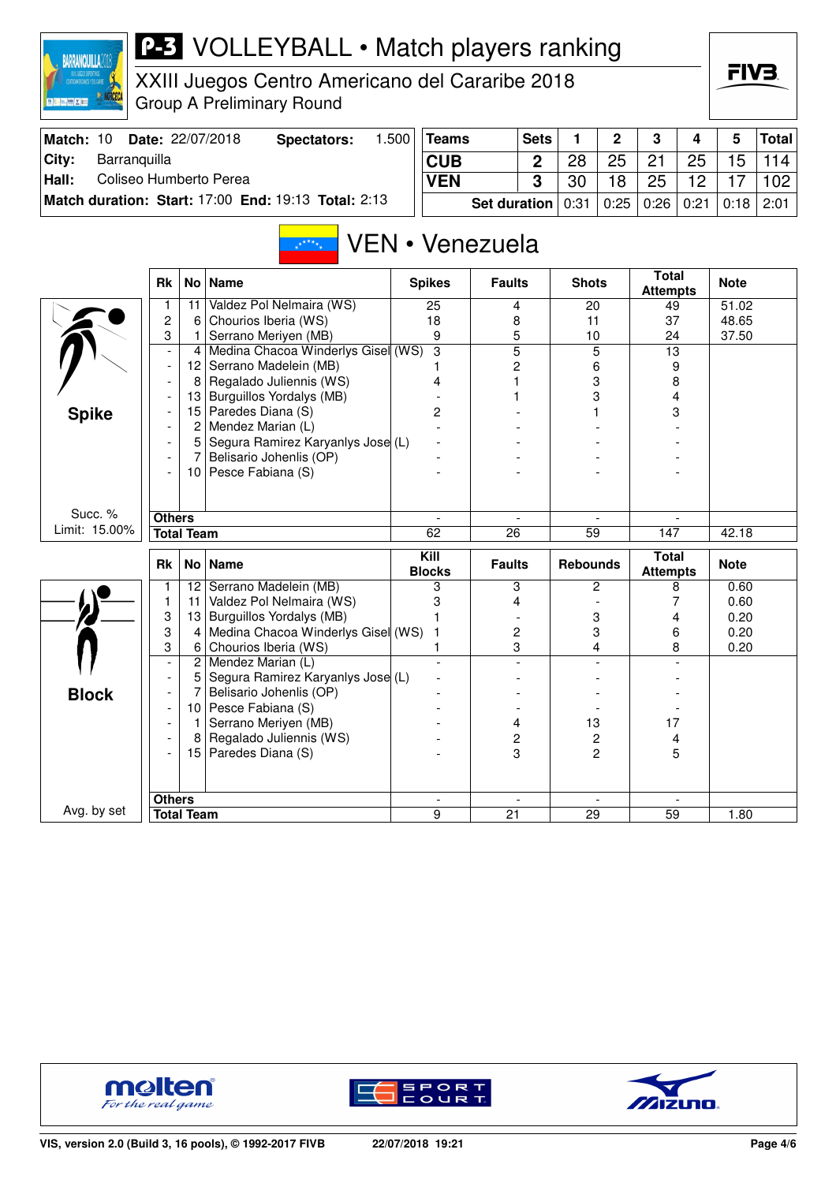| onnail                                                          |  |  |
|-----------------------------------------------------------------|--|--|
| XXIII DUEGOS DEPORTIVOS<br><b>CENTROANERICANOS Y DEL CARIBE</b> |  |  |
|                                                                 |  |  |
| <b>The</b>                                                      |  |  |

XXIII Juegos Centro Americano del Cararibe 2018 Group A Preliminary Round

| Match: 10 | <b>Date: 22/07/2018</b>                             | Spectators: | .500 | Teams                                                  | <b>Sets</b> |    | $\overline{2}$ | - 3  | 4  | 5  | Total |
|-----------|-----------------------------------------------------|-------------|------|--------------------------------------------------------|-------------|----|----------------|------|----|----|-------|
| ⊺Citv:    | Barranguilla                                        |             |      | <b>CUB</b>                                             | 2           | 28 | 25             | 21   | 25 | 15 | 114   |
| Hall:     | Coliseo Humberto Perea                              |             |      | <b>VEN</b>                                             |             | 30 | 18             | - 25 | 12 |    | 102   |
|           | Match duration: Start: 17:00 End: 19:13 Total: 2:13 |             |      | Set duration   0:31   0:25   0:26   0:21   0:18   2:01 |             |    |                |      |    |    |       |

#### VEN • Venezuela  $x^{k+k}$

|               | <b>Rk</b>                |                   | No   Name                          | <b>Spikes</b>             | <b>Faults</b>  | <b>Shots</b>             | <b>Total</b><br><b>Attempts</b> | <b>Note</b> |
|---------------|--------------------------|-------------------|------------------------------------|---------------------------|----------------|--------------------------|---------------------------------|-------------|
|               |                          | 11                | Valdez Pol Nelmaira (WS)           | 25                        | 4              | 20                       | 49                              | 51.02       |
|               | $\overline{2}$           | 6                 | Chourios Iberia (WS)               | 18                        | 8              | 11                       | 37                              | 48.65       |
|               | 3                        | 1                 | Serrano Meriyen (MB)               | 9                         | 5              | 10                       | 24                              | 37.50       |
|               | $\overline{\phantom{a}}$ | 4                 | Medina Chacoa Winderlys Gisel (WS) | $\overline{\overline{3}}$ | $\overline{5}$ | $\overline{5}$           | 13                              |             |
|               | $\blacksquare$           | 12                | Serrano Madelein (MB)              |                           | 2              | 6                        | 9                               |             |
|               |                          | 8                 | Regalado Juliennis (WS)            | 4                         | 1              | 3                        | 8                               |             |
|               |                          | 13                | Burguillos Yordalys (MB)           |                           |                | 3                        | 4                               |             |
| <b>Spike</b>  |                          | 15                | Paredes Diana (S)                  | 2                         |                |                          | 3                               |             |
|               |                          | 2                 | Mendez Marian (L)                  |                           |                |                          |                                 |             |
|               |                          | 5                 | Segura Ramirez Karyanlys Jose (L)  |                           |                |                          |                                 |             |
|               |                          | 7                 | Belisario Johenlis (OP)            |                           |                |                          |                                 |             |
|               |                          |                   | 10 Pesce Fabiana (S)               |                           |                |                          |                                 |             |
|               |                          |                   |                                    |                           |                |                          |                                 |             |
|               |                          |                   |                                    |                           |                |                          |                                 |             |
| Succ. %       | <b>Others</b>            |                   |                                    |                           |                |                          |                                 |             |
| Limit: 15.00% |                          | <b>Total Team</b> |                                    | 62                        | 26             | $\overline{59}$          | 147                             | 42.18       |
|               | <b>Rk</b>                |                   | No   Name                          | Kill<br><b>Blocks</b>     | <b>Faults</b>  | <b>Rebounds</b>          | <b>Total</b><br><b>Attempts</b> | <b>Note</b> |
|               |                          | 12 <sup>2</sup>   | Serrano Madelein (MB)              | 3                         | 3              | 2                        | 8                               | 0.60        |
|               | $\mathbf{1}$             | 11                | Valdez Pol Nelmaira (WS)           | 3                         | 4              |                          | 7                               | 0.60        |
|               | 3                        | 13                | Burguillos Yordalys (MB)           |                           |                | 3                        | 4                               | 0.20        |
|               | 3                        | 4                 | Medina Chacoa Winderlys Gisel (WS) | 1                         | 2              | 3                        | 6                               | 0.20        |
|               | 3                        | 6                 | Chourios Iberia (WS)               |                           | 3              | 4                        | 8                               | 0.20        |
|               | $\blacksquare$           | $\overline{c}$    | Mendez Marian (L)                  |                           |                |                          |                                 |             |
|               |                          | 5                 | Segura Ramirez Karyanlys Jose (L)  |                           |                |                          |                                 |             |
| <b>Block</b>  |                          |                   | Belisario Johenlis (OP)            |                           |                |                          |                                 |             |
|               |                          | 10                | Pesce Fabiana (S)                  |                           |                |                          |                                 |             |
|               |                          | 1                 | Serrano Meriyen (MB)               |                           | 4              | 13                       | 17                              |             |
|               |                          | 8                 | Regalado Juliennis (WS)            |                           | 2              | 2                        | 4                               |             |
|               |                          | 15                | Paredes Diana (S)                  |                           | 3              | 2                        | 5                               |             |
|               |                          |                   |                                    |                           |                |                          |                                 |             |
|               |                          |                   |                                    |                           |                |                          |                                 |             |
|               |                          |                   |                                    |                           |                |                          |                                 |             |
| Avg. by set   | <b>Others</b>            |                   |                                    | $\overline{\phantom{a}}$  | $\overline{a}$ | $\overline{\phantom{a}}$ |                                 |             |





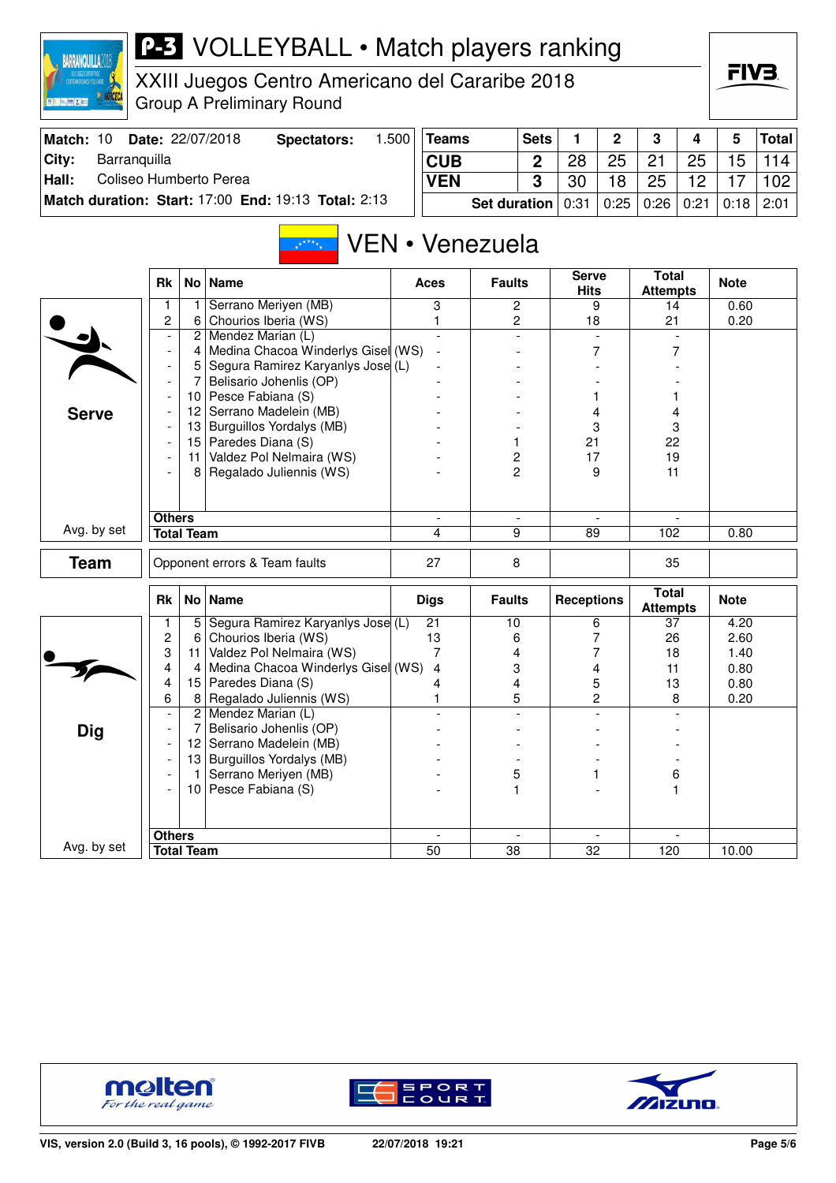

XXIII Juegos Centro Americano del Cararibe 2018 Group A Preliminary Round

| Match: 10 | <b>Date: 22/07/2018</b>                             | Spectators: | .500 | <b>Teams</b>          | <b>Sets</b> |    | $\overline{\mathbf{2}}$          | $\mathbf{3}$ | $\overline{4}$    | 5               | Total |
|-----------|-----------------------------------------------------|-------------|------|-----------------------|-------------|----|----------------------------------|--------------|-------------------|-----------------|-------|
| City:     | Barranguilla                                        |             |      | <b>CUB</b>            |             | 28 | 25                               | 21           | 25                | 15 <sup>1</sup> | 114   |
| Hall:     | Coliseo Humberto Perea                              |             |      | <b>VEN</b>            | 3           | 30 | 18                               | 25           | $12 \overline{ }$ | 17              | 102   |
|           | Match duration: Start: 17:00 End: 19:13 Total: 2:13 |             |      | Set duration $ 0:31 $ |             |    | 0:25   0:26   0:21   0:18   2:01 |              |                   |                 |       |

#### VEN • Venezuela  $\sqrt{x^2 + x^2}$

|              | <b>Rk</b>                |                   | No   Name                          | <b>Aces</b>                    | <b>Faults</b>            | <b>Serve</b><br><b>Hits</b>    | <b>Total</b><br><b>Attempts</b> | <b>Note</b> |
|--------------|--------------------------|-------------------|------------------------------------|--------------------------------|--------------------------|--------------------------------|---------------------------------|-------------|
|              | 1                        | 1                 | Serrano Meriyen (MB)               | 3                              | $\overline{2}$           | 9                              | 14                              | 0.60        |
|              | $\overline{c}$           | 6                 | Chourios Iberia (WS)               | 1                              | $\overline{2}$           | 18                             | 21                              | 0.20        |
|              | $\overline{\phantom{a}}$ | $\overline{c}$    | Mendez Marian (L)                  | $\overline{\phantom{a}}$       | $\overline{\phantom{a}}$ | $\overline{a}$                 |                                 |             |
|              | $\overline{\phantom{a}}$ | 4                 | Medina Chacoa Winderlys Gisel (WS) | $\sim$                         |                          | 7                              | $\overline{7}$                  |             |
|              | $\overline{\phantom{a}}$ | 5                 | Segura Ramirez Karyanlys Jose (L)  |                                |                          |                                |                                 |             |
|              | $\overline{\phantom{a}}$ | $\overline{7}$    | Belisario Johenlis (OP)            |                                |                          |                                |                                 |             |
|              |                          |                   | 10 Pesce Fabiana (S)               |                                |                          | 1                              | 1                               |             |
| <b>Serve</b> |                          | 12                | Serrano Madelein (MB)              |                                |                          | 4                              | 4                               |             |
|              | $\overline{a}$           |                   | 13 Burguillos Yordalys (MB)        |                                |                          | 3                              | 3                               |             |
|              | $\overline{a}$           |                   | 15 Paredes Diana (S)               |                                | 1                        | 21                             | 22                              |             |
|              | $\overline{\phantom{a}}$ | 11                | Valdez Pol Nelmaira (WS)           |                                | 2                        | 17                             | 19                              |             |
|              | $\blacksquare$           | 8                 | Regalado Juliennis (WS)            |                                | $\overline{2}$           | 9                              | 11                              |             |
|              |                          |                   |                                    |                                |                          |                                |                                 |             |
|              |                          |                   |                                    |                                |                          |                                |                                 |             |
| Avg. by set  | <b>Others</b>            |                   |                                    | $\overline{\phantom{a}}$       | $\overline{\phantom{a}}$ |                                |                                 |             |
|              |                          | <b>Total Team</b> |                                    | 4                              | 9                        | 89                             | 102                             | 0.80        |
| <b>Team</b>  |                          |                   | Opponent errors & Team faults      | 27                             | 8                        |                                | 35                              |             |
|              |                          |                   |                                    |                                |                          |                                |                                 |             |
|              |                          |                   |                                    |                                |                          |                                |                                 |             |
|              | <b>Rk</b>                |                   | No   Name                          | <b>Digs</b>                    | <b>Faults</b>            | <b>Receptions</b>              | <b>Total</b><br><b>Attempts</b> | <b>Note</b> |
|              | 1                        | 5                 | Segura Ramirez Karyanlys Jose (L)  | $\overline{21}$                | $\overline{10}$          | 6                              | 37                              | 4.20        |
|              | $\overline{c}$           | 6                 | Chourios Iberia (WS)               | 13                             | 6                        | 7                              | 26                              | 2.60        |
|              | 3                        | 11                | Valdez Pol Nelmaira (WS)           | 7                              | 4                        | 7                              | 18                              | 1.40        |
|              | 4                        | 4                 | Medina Chacoa Winderlys Gisel (WS) | $\overline{4}$                 | 3                        | 4                              | 11                              | 0.80        |
|              | 4                        | 15                | Paredes Diana (S)                  | 4                              | 4                        | 5                              | 13                              | 0.80        |
|              | 6                        | 8                 | Regalado Juliennis (WS)            | 1                              | 5                        | $\overline{c}$                 | 8                               | 0.20        |
|              | $\overline{\phantom{a}}$ |                   | 2 Mendez Marian (L)                |                                |                          |                                |                                 |             |
| <b>Dig</b>   | $\overline{\phantom{a}}$ | 7                 | Belisario Johenlis (OP)            |                                |                          |                                |                                 |             |
|              | $\overline{\phantom{a}}$ |                   | 12 Serrano Madelein (MB)           |                                |                          |                                |                                 |             |
|              | $\overline{\phantom{a}}$ |                   | 13 Burguillos Yordalys (MB)        |                                |                          |                                |                                 |             |
|              | $\overline{\phantom{a}}$ | 1 <sup>1</sup>    | Serrano Meriyen (MB)               |                                | 5                        | 1                              | 6                               |             |
|              |                          |                   | 10 Pesce Fabiana (S)               |                                | 1                        |                                | 1                               |             |
|              |                          |                   |                                    |                                |                          |                                |                                 |             |
|              |                          |                   |                                    |                                |                          |                                |                                 |             |
| Avg. by set  | <b>Others</b>            | <b>Total Team</b> |                                    | $\overline{\phantom{a}}$<br>50 | $\blacksquare$<br>38     | $\overline{\phantom{a}}$<br>32 | $\overline{\phantom{a}}$<br>120 | 10.00       |